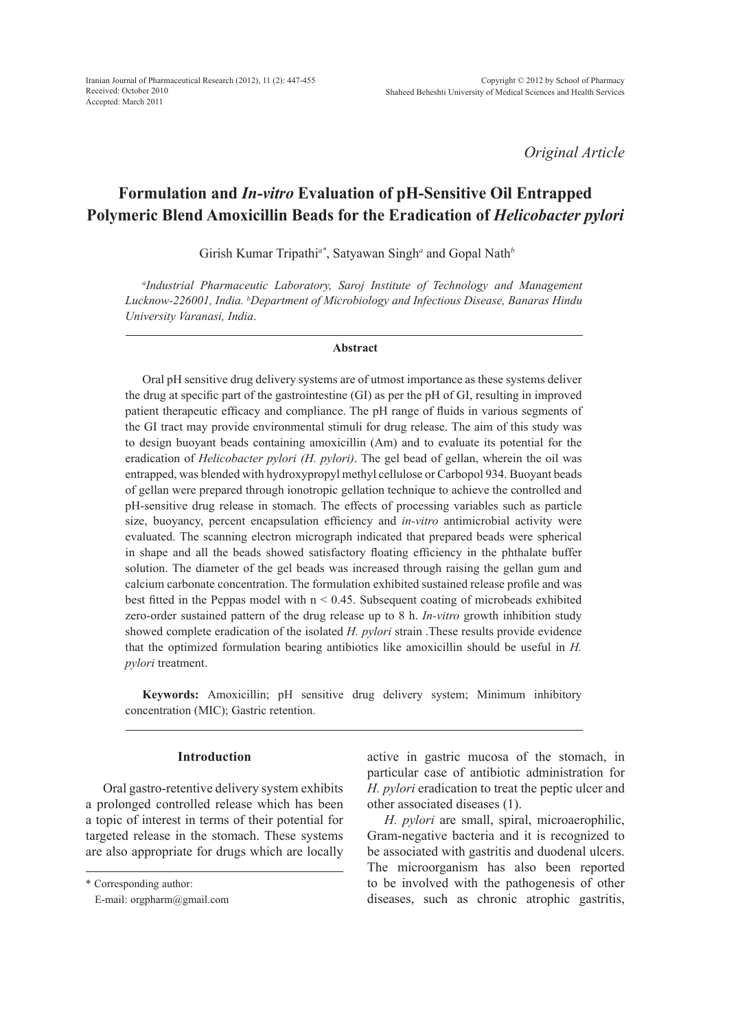*Original Article*

# **Formulation and** *In-vitro* **Evaluation of pH-Sensitive Oil Entrapped Polymeric Blend Amoxicillin Beads for the Eradication of** *Helicobacter pylori*

Girish Kumar Tripathi*a\**, Satyawan Singh*<sup>a</sup>* and Gopal Nath*<sup>b</sup>*

*a Industrial Pharmaceutic Laboratory, Saroj Institute of Technology and Management Lucknow-226001, India. b Department of Microbiology and Infectious Disease, Banaras Hindu University Varanasi, India*.

### **Abstract**

Oral pH sensitive drug delivery systems are of utmost importance as these systems deliver the drug at specific part of the gastrointestine (GI) as per the pH of GI, resulting in improved patient therapeutic efficacy and compliance. The pH range of fluids in various segments of the GI tract may provide environmental stimuli for drug release. The aim of this study was to design buoyant beads containing amoxicillin (Am) and to evaluate its potential for the eradication of *Helicobacter pylori (H. pylori)*. The gel bead of gellan, wherein the oil was entrapped, was blended with hydroxypropyl methyl cellulose or Carbopol 934. Buoyant beads of gellan were prepared through ionotropic gellation technique to achieve the controlled and pH-sensitive drug release in stomach. The effects of processing variables such as particle size, buoyancy, percent encapsulation efficiency and *in-vitro* antimicrobial activity were evaluated. The scanning electron micrograph indicated that prepared beads were spherical in shape and all the beads showed satisfactory floating efficiency in the phthalate buffer solution. The diameter of the gel beads was increased through raising the gellan gum and calcium carbonate concentration. The formulation exhibited sustained release profile and was best fitted in the Peppas model with  $n < 0.45$ . Subsequent coating of microbeads exhibited zero-order sustained pattern of the drug release up to 8 h. *In-vitro* growth inhibition study showed complete eradication of the isolated *H. pylori* strain .These results provide evidence that the optimized formulation bearing antibiotics like amoxicillin should be useful in *H. pylori* treatment.

**Keywords:** Amoxicillin; pH sensitive drug delivery system; Minimum inhibitory concentration (MIC); Gastric retention.

## **Introduction**

Oral gastro-retentive delivery system exhibits a prolonged controlled release which has been a topic of interest in terms of their potential for targeted release in the stomach. These systems are also appropriate for drugs which are locally active in gastric mucosa of the stomach, in particular case of antibiotic administration for *H. pylori* eradication to treat the peptic ulcer and other associated diseases (1).

*H. pylori* are small, spiral, microaerophilic, Gram-negative bacteria and it is recognized to be associated with gastritis and duodenal ulcers. The microorganism has also been reported to be involved with the pathogenesis of other diseases, such as chronic atrophic gastritis,

<sup>\*</sup> Corresponding author:

E-mail: orgpharm@gmail.com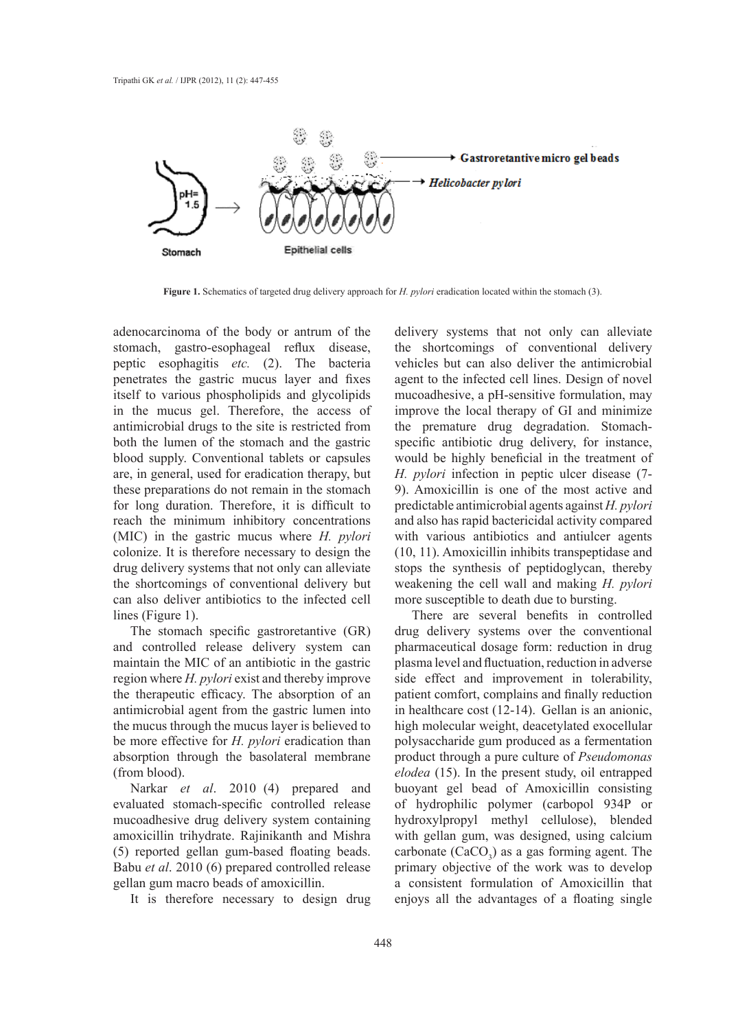

**Figure 1.** Schematics of targeted drug delivery approach for *H. pylori* eradication located within the stomach (3).

adenocarcinoma of the body or antrum of the stomach, gastro-esophageal reflux disease, peptic esophagitis *etc.* (2). The bacteria penetrates the gastric mucus layer and fixes itself to various phospholipids and glycolipids in the mucus gel. Therefore, the access of antimicrobial drugs to the site is restricted from both the lumen of the stomach and the gastric blood supply. Conventional tablets or capsules are, in general, used for eradication therapy, but these preparations do not remain in the stomach for long duration. Therefore, it is difficult to reach the minimum inhibitory concentrations (MIC) in the gastric mucus where *H. pylori*  colonize. It is therefore necessary to design the drug delivery systems that not only can alleviate the shortcomings of conventional delivery but can also deliver antibiotics to the infected cell lines (Figure 1).

The stomach specific gastroretantive (GR) and controlled release delivery system can maintain the MIC of an antibiotic in the gastric region where *H. pylori* exist and thereby improve the therapeutic efficacy. The absorption of an antimicrobial agent from the gastric lumen into the mucus through the mucus layer is believed to be more effective for *H. pylori* eradication than absorption through the basolateral membrane (from blood).

Narkar *et al*. 2010 (4) prepared and evaluated stomach-specific controlled release mucoadhesive drug delivery system containing amoxicillin trihydrate. Rajinikanth and Mishra (5) reported gellan gum-based floating beads. Babu *et al*. 2010 (6) prepared controlled release gellan gum macro beads of amoxicillin.

It is therefore necessary to design drug

delivery systems that not only can alleviate the shortcomings of conventional delivery vehicles but can also deliver the antimicrobial agent to the infected cell lines. Design of novel mucoadhesive, a pH-sensitive formulation, may improve the local therapy of GI and minimize the premature drug degradation. Stomachspecific antibiotic drug delivery, for instance, would be highly beneficial in the treatment of *H. pylori* infection in peptic ulcer disease (7- 9). Amoxicillin is one of the most active and predictable antimicrobial agents against *H. pylori*  and also has rapid bactericidal activity compared with various antibiotics and antiulcer agents (10, 11). Amoxicillin inhibits transpeptidase and stops the synthesis of peptidoglycan, thereby weakening the cell wall and making *H. pylori*  more susceptible to death due to bursting.

There are several benefits in controlled drug delivery systems over the conventional pharmaceutical dosage form: reduction in drug plasma level and fluctuation, reduction in adverse side effect and improvement in tolerability, patient comfort, complains and finally reduction in healthcare cost (12-14). Gellan is an anionic, high molecular weight, deacetylated exocellular polysaccharide gum produced as a fermentation product through a pure culture of *Pseudomonas elodea* (15). In the present study, oil entrapped buoyant gel bead of Amoxicillin consisting of hydrophilic polymer (carbopol 934P or hydroxylpropyl methyl cellulose), blended with gellan gum, was designed, using calcium carbonate  $(CaCO<sub>3</sub>)$  as a gas forming agent. The primary objective of the work was to develop a consistent formulation of Amoxicillin that enjoys all the advantages of a floating single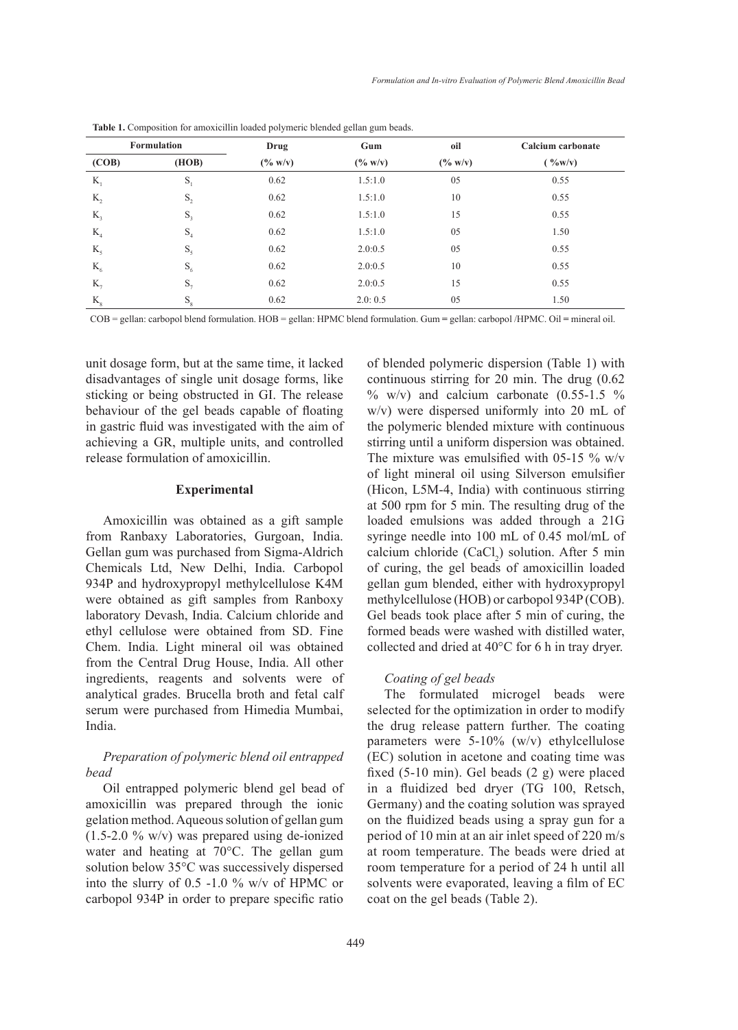| <b>Formulation</b> |                | Drug       | Gum        | oil               | Calcium carbonate |  |  |
|--------------------|----------------|------------|------------|-------------------|-------------------|--|--|
| (COB)              | (HOB)          | $(\% w/v)$ | $(\% w/v)$ | $(^{0}/_{0} W/v)$ | ( %w/v)           |  |  |
| $K_1$              | $S_1$          | 0.62       | 1.5:1.0    | 05                | 0.55              |  |  |
| $K_{2}$            | $\mathbf{S}_2$ | 0.62       | 1.5:1.0    | 10                | 0.55              |  |  |
| $K_{\mathcal{R}}$  | $S_3$          | 0.62       | 1.5:1.0    | 15                | 0.55              |  |  |
| K <sub>4</sub>     | $S_4$          | 0.62       | 1.5:1.0    | 05                | 1.50              |  |  |
| K <sub>5</sub>     | $S_{5}$        | 0.62       | 2.0:0.5    | 05                | 0.55              |  |  |
| $K_{\sigma}$       | $S_6$          | 0.62       | 2.0:0.5    | 10                | 0.55              |  |  |
| $K_{7}$            | $S_7$          | 0.62       | 2.0:0.5    | 15                | 0.55              |  |  |
| $K_{8}$            | $S_8$          | 0.62       | 2.0:0.5    | 05                | 1.50              |  |  |

Table 1. Composition for amoxicillin loaded polymeric blended gellan gum beads.

COB = gellan: carbopol blend formulation. HOB = gellan: HPMC blend formulation. Gum **=** gellan: carbopol /HPMC. Oil **=** mineral oil.

unit dosage form, but at the same time, it lacked disadvantages of single unit dosage forms, like sticking or being obstructed in GI. The release behaviour of the gel beads capable of floating in gastric fluid was investigated with the aim of achieving a GR, multiple units, and controlled release formulation of amoxicillin.

### **Experimental**

Amoxicillin was obtained as a gift sample from Ranbaxy Laboratories, Gurgoan, India. Gellan gum was purchased from Sigma-Aldrich Chemicals Ltd, New Delhi, India. Carbopol 934P and hydroxypropyl methylcellulose K4M were obtained as gift samples from Ranboxy laboratory Devash, India. Calcium chloride and ethyl cellulose were obtained from SD. Fine Chem. India. Light mineral oil was obtained from the Central Drug House, India. All other ingredients, reagents and solvents were of analytical grades. Brucella broth and fetal calf serum were purchased from Himedia Mumbai, India.

# *Preparation of polymeric blend oil entrapped bead*

Oil entrapped polymeric blend gel bead of amoxicillin was prepared through the ionic gelation method. Aqueous solution of gellan gum (1.5-2.0 % w/v) was prepared using de-ionized water and heating at 70°C. The gellan gum solution below 35°C was successively dispersed into the slurry of 0.5 -1.0 % w/v of HPMC or carbopol 934P in order to prepare specific ratio

of blended polymeric dispersion (Table 1) with continuous stirring for 20 min. The drug (0.62  $\%$  w/v) and calcium carbonate (0.55-1.5  $\%$ ) w/v) were dispersed uniformly into 20 mL of the polymeric blended mixture with continuous stirring until a uniform dispersion was obtained. The mixture was emulsified with 05-15  $\%$  w/v of light mineral oil using Silverson emulsifier (Hicon, L5M-4, India) with continuous stirring at 500 rpm for 5 min. The resulting drug of the loaded emulsions was added through a 21G syringe needle into 100 mL of 0.45 mol/mL of calcium chloride  $(CaCl<sub>2</sub>)$  solution. After 5 min of curing, the gel beads of amoxicillin loaded gellan gum blended, either with hydroxypropyl methylcellulose (HOB) or carbopol 934P (COB). Gel beads took place after 5 min of curing, the formed beads were washed with distilled water, collected and dried at 40°C for 6 h in tray dryer.

### *Coating of gel beads*

The formulated microgel beads were selected for the optimization in order to modify the drug release pattern further. The coating parameters were 5-10% (w/v) ethylcellulose (EC) solution in acetone and coating time was fixed (5-10 min). Gel beads (2 g) were placed in a fluidized bed dryer (TG 100, Retsch, Germany) and the coating solution was sprayed on the fluidized beads using a spray gun for a period of 10 min at an air inlet speed of 220 m/s at room temperature. The beads were dried at room temperature for a period of 24 h until all solvents were evaporated, leaving a film of EC coat on the gel beads (Table 2).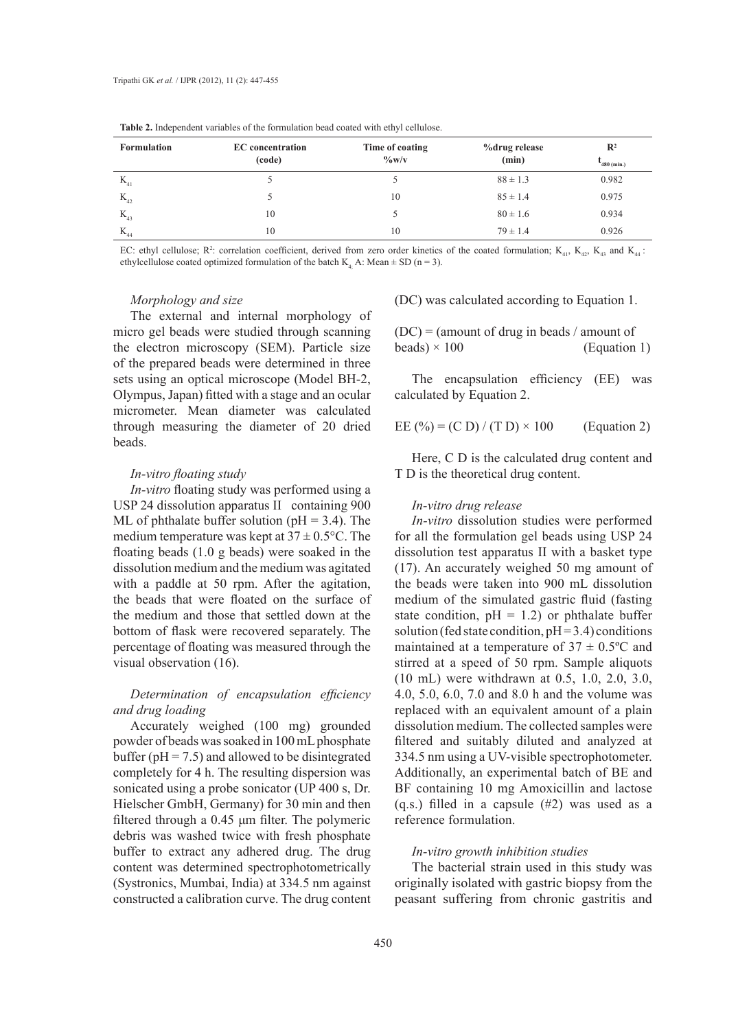|                    |                                   |                                         |                        | $\mathbb{R}^2$ |  |
|--------------------|-----------------------------------|-----------------------------------------|------------------------|----------------|--|
| <b>Formulation</b> | <b>EC</b> concentration<br>(code) | Time of coating<br>$\frac{6}{\sqrt{2}}$ | %drug release<br>(min) | $480$ (min.)   |  |
| $K_{41}$           |                                   |                                         | $88 \pm 1.3$           | 0.982          |  |
| $K_{42}$           |                                   | 10                                      | $85 \pm 1.4$           | 0.975          |  |
| $K_{43}$           | 10                                |                                         | $80 \pm 1.6$           | 0.934          |  |
| $K_{44}$           | 10                                | 10                                      | $79 \pm 1.4$           | 0.926          |  |

**Table 2.** Independent variables of the formulation bead coated with ethyl cellulose.

EC: ethyl cellulose;  $R^2$ : correlation coefficient, derived from zero order kinetics of the coated formulation;  $K_{41}$ ,  $K_{42}$ ,  $K_{43}$  and  $K_{44}$ : ethylcellulose coated optimized formulation of the batch  $K<sub>4</sub>$ . A: Mean  $\pm$  SD (n = 3).

#### *Morphology and size*

The external and internal morphology of micro gel beads were studied through scanning the electron microscopy (SEM). Particle size of the prepared beads were determined in three sets using an optical microscope (Model BH-2, Olympus, Japan) fitted with a stage and an ocular micrometer. Mean diameter was calculated through measuring the diameter of 20 dried beads.

### *In-vitro floating study*

*In-vitro* floating study was performed using a USP 24 dissolution apparatus II containing 900 ML of phthalate buffer solution ( $pH = 3.4$ ). The medium temperature was kept at  $37 \pm 0.5$ °C. The floating beads (1.0 g beads) were soaked in the dissolution medium and the medium was agitated with a paddle at 50 rpm. After the agitation, the beads that were floated on the surface of the medium and those that settled down at the bottom of flask were recovered separately. The percentage of floating was measured through the visual observation (16).

# *Determination of encapsulation efficiency and drug loading*

Accurately weighed (100 mg) grounded powder of beads was soaked in 100 mL phosphate buffer ( $pH = 7.5$ ) and allowed to be disintegrated completely for 4 h. The resulting dispersion was sonicated using a probe sonicator (UP 400 s, Dr. Hielscher GmbH, Germany) for 30 min and then filtered through a 0.45 μm filter. The polymeric debris was washed twice with fresh phosphate buffer to extract any adhered drug. The drug content was determined spectrophotometrically (Systronics, Mumbai, India) at 334.5 nm against constructed a calibration curve. The drug content

(DC) was calculated according to Equation 1.

 $(DC) =$  (amount of drug in beads / amount of  $beads) \times 100$  (Equation 1)

The encapsulation efficiency (EE) was calculated by Equation 2.

EE (%) = (C D) / (T D)  $\times$  100 (Equation 2)

Here, C D is the calculated drug content and T D is the theoretical drug content.

### *In-vitro drug release*

*In-vitro* dissolution studies were performed for all the formulation gel beads using USP 24 dissolution test apparatus II with a basket type (17). An accurately weighed 50 mg amount of the beads were taken into 900 mL dissolution medium of the simulated gastric fluid (fasting state condition,  $pH = 1.2$ ) or phthalate buffer solution (fed state condition,  $pH = 3.4$ ) conditions maintained at a temperature of  $37 \pm 0.5$ °C and stirred at a speed of 50 rpm. Sample aliquots (10 mL) were withdrawn at 0.5, 1.0, 2.0, 3.0, 4.0, 5.0, 6.0, 7.0 and 8.0 h and the volume was replaced with an equivalent amount of a plain dissolution medium. The collected samples were filtered and suitably diluted and analyzed at 334.5 nm using a UV-visible spectrophotometer. Additionally, an experimental batch of BE and BF containing 10 mg Amoxicillin and lactose (q.s.) filled in a capsule (#2) was used as a reference formulation.

### *In-vitro growth inhibition studies*

The bacterial strain used in this study was originally isolated with gastric biopsy from the peasant suffering from chronic gastritis and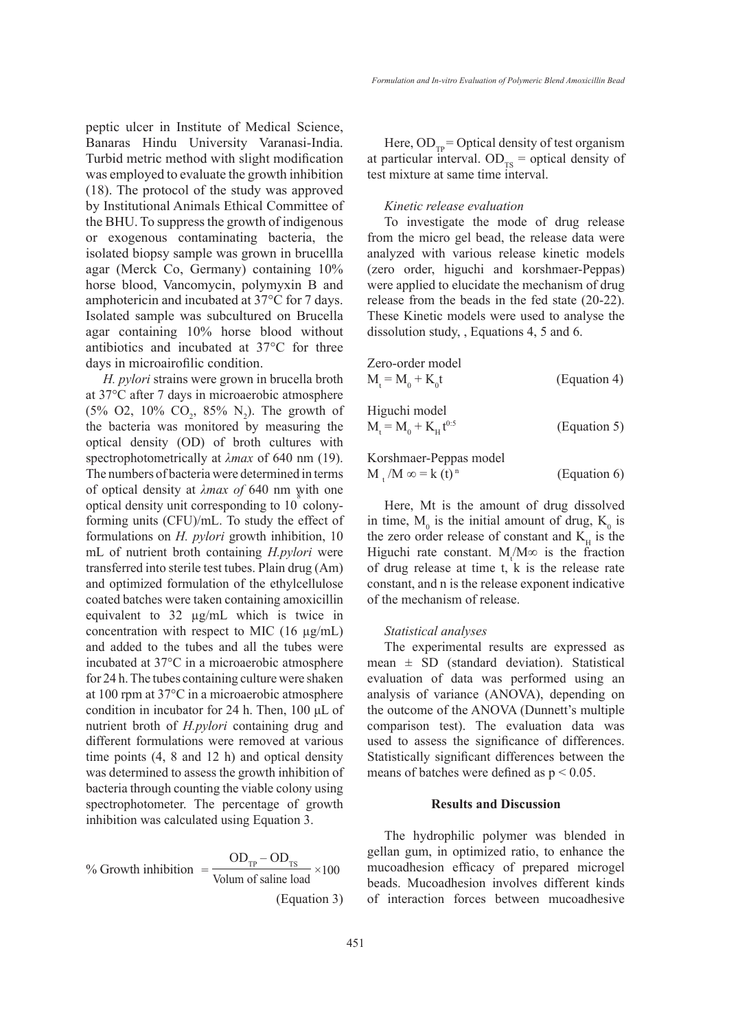peptic ulcer in Institute of Medical Science, Banaras Hindu University Varanasi-India. Turbid metric method with slight modification was employed to evaluate the growth inhibition (18). The protocol of the study was approved by Institutional Animals Ethical Committee of the BHU. To suppress the growth of indigenous or exogenous contaminating bacteria, the isolated biopsy sample was grown in brucellla agar (Merck Co, Germany) containing 10% horse blood, Vancomycin, polymyxin B and amphotericin and incubated at 37°C for 7 days. Isolated sample was subcultured on Brucella agar containing 10% horse blood without antibiotics and incubated at 37°C for three days in microairofilic condition.

*H. pylori* strains were grown in brucella broth at 37°C after 7 days in microaerobic atmosphere  $(5\% \text{ O2}, 10\% \text{ CO}_2, 85\% \text{ N}_2)$ . The growth of the bacteria was monitored by measuring the optical density (OD) of broth cultures with spectrophotometrically at *λmax* of 640 nm (19). The numbers of bacteria were determined in terms of optical density at *λmax of* 640 nm with one optical density unit corresponding to  $10^8$  colonyforming units (CFU)/mL. To study the effect of formulations on *H. pylori* growth inhibition, 10 mL of nutrient broth containing *H.pylori* were transferred into sterile test tubes. Plain drug (Am) and optimized formulation of the ethylcellulose coated batches were taken containing amoxicillin equivalent to 32 µg/mL which is twice in concentration with respect to MIC  $(16 \mu g/mL)$ and added to the tubes and all the tubes were incubated at 37°C in a microaerobic atmosphere for 24 h. The tubes containing culture were shaken at 100 rpm at 37°C in a microaerobic atmosphere condition in incubator for 24 h. Then, 100 μL of nutrient broth of *H.pylori* containing drug and different formulations were removed at various time points (4, 8 and 12 h) and optical density was determined to assess the growth inhibition of bacteria through counting the viable colony using spectrophotometer. The percentage of growth inhibition was calculated using Equation 3.

% Growth inhibition 
$$
=\frac{OD_{TP} - OD_{TS}}{Volume of saline load} \times 100
$$
  
(Equation 3)

Here,  $OD_{TP} = Optical$  density of test organism at particular interval.  $OD_{TS}$  = optical density of test mixture at same time interval.

### *Kinetic release evaluation*

To investigate the mode of drug release from the micro gel bead, the release data were analyzed with various release kinetic models (zero order, higuchi and korshmaer-Peppas) were applied to elucidate the mechanism of drug release from the beads in the fed state (20-22). These Kinetic models were used to analyse the dissolution study, , Equations 4, 5 and 6.

Zero-order model  $M_t = M_0 + K_0$  $(Equation 4)$ Higuchi model  $M_t = M_0 + K_H t$  $(Equation 5)$ 

# Korshmaer-Peppas model

 $M_t/M \infty = k(t)^n$  (Equation 6)

Here, Mt is the amount of drug dissolved in time,  $M_0$  is the initial amount of drug,  $K_0$  is the zero order release of constant and  $K_H$  is the Higuchi rate constant.  $M_t/M\infty$  is the fraction of drug release at time t, k is the release rate constant, and n is the release exponent indicative of the mechanism of release.

### *Statistical analyses*

The experimental results are expressed as mean  $\pm$  SD (standard deviation). Statistical evaluation of data was performed using an analysis of variance (ANOVA), depending on the outcome of the ANOVA (Dunnett's multiple comparison test). The evaluation data was used to assess the significance of differences. Statistically significant differences between the means of batches were defined as  $p < 0.05$ .

## **Results and Discussion**

The hydrophilic polymer was blended in gellan gum, in optimized ratio, to enhance the mucoadhesion efficacy of prepared microgel beads. Mucoadhesion involves different kinds of interaction forces between mucoadhesive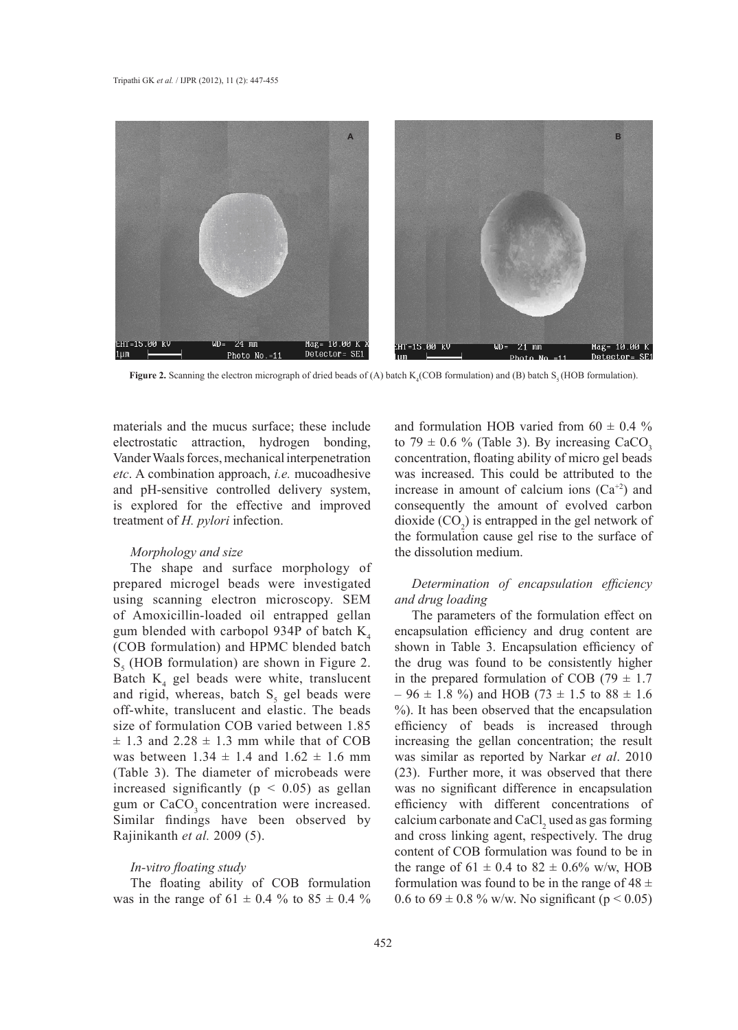

**Figure 2.** Scanning the electron micrograph of dried beads of (A) batch  $K_4$ (COB formulation) and (B) batch  $S_5$ (HOB formulation).

materials and the mucus surface; these include electrostatic attraction, hydrogen bonding, Vander Waals forces, mechanical interpenetration *etc*. A combination approach, *i.e.* mucoadhesive and pH-sensitive controlled delivery system, is explored for the effective and improved treatment of *H. pylori* infection.

### *Morphology and size*

The shape and surface morphology of prepared microgel beads were investigated using scanning electron microscopy. SEM of Amoxicillin-loaded oil entrapped gellan gum blended with carbopol 934P of batch  $K<sub>4</sub>$ (COB formulation) and HPMC blended batch  $S<sub>5</sub>$  (HOB formulation) are shown in Figure 2. Batch  $K_4$  gel beads were white, translucent and rigid, whereas, batch  $S_5$  gel beads were off-white, translucent and elastic. The beads size of formulation COB varied between 1.85  $\pm$  1.3 and 2.28  $\pm$  1.3 mm while that of COB was between  $1.34 \pm 1.4$  and  $1.62 \pm 1.6$  mm (Table 3). The diameter of microbeads were increased significantly ( $p < 0.05$ ) as gellan gum or CaCO<sub>3</sub> concentration were increased. Similar findings have been observed by Rajinikanth *et al.* 2009 (5).

### *In-vitro floating study*

The floating ability of COB formulation was in the range of  $61 \pm 0.4$  % to  $85 \pm 0.4$  %

and formulation HOB varied from  $60 \pm 0.4$  % to 79  $\pm$  0.6 % (Table 3). By increasing CaCO<sub>3</sub> concentration, floating ability of micro gel beads was increased. This could be attributed to the increase in amount of calcium ions  $(Ca^{+2})$  and consequently the amount of evolved carbon dioxide  $(CO_2)$  is entrapped in the gel network of the formulation cause gel rise to the surface of the dissolution medium.

# *Determination of encapsulation efficiency and drug loading*

The parameters of the formulation effect on encapsulation efficiency and drug content are shown in Table 3. Encapsulation efficiency of the drug was found to be consistently higher in the prepared formulation of COB (79  $\pm$  1.7  $-96 \pm 1.8$  %) and HOB (73  $\pm$  1.5 to 88  $\pm$  1.6 %). It has been observed that the encapsulation efficiency of beads is increased through increasing the gellan concentration; the result was similar as reported by Narkar *et al*. 2010 (23). Further more, it was observed that there was no significant difference in encapsulation efficiency with different concentrations of calcium carbonate and  $CaCl<sub>2</sub>$  used as gas forming and cross linking agent, respectively. The drug content of COB formulation was found to be in the range of  $61 \pm 0.4$  to  $82 \pm 0.6\%$  w/w, HOB formulation was found to be in the range of  $48 \pm$ 0.6 to  $69 \pm 0.8$  % w/w. No significant (p < 0.05)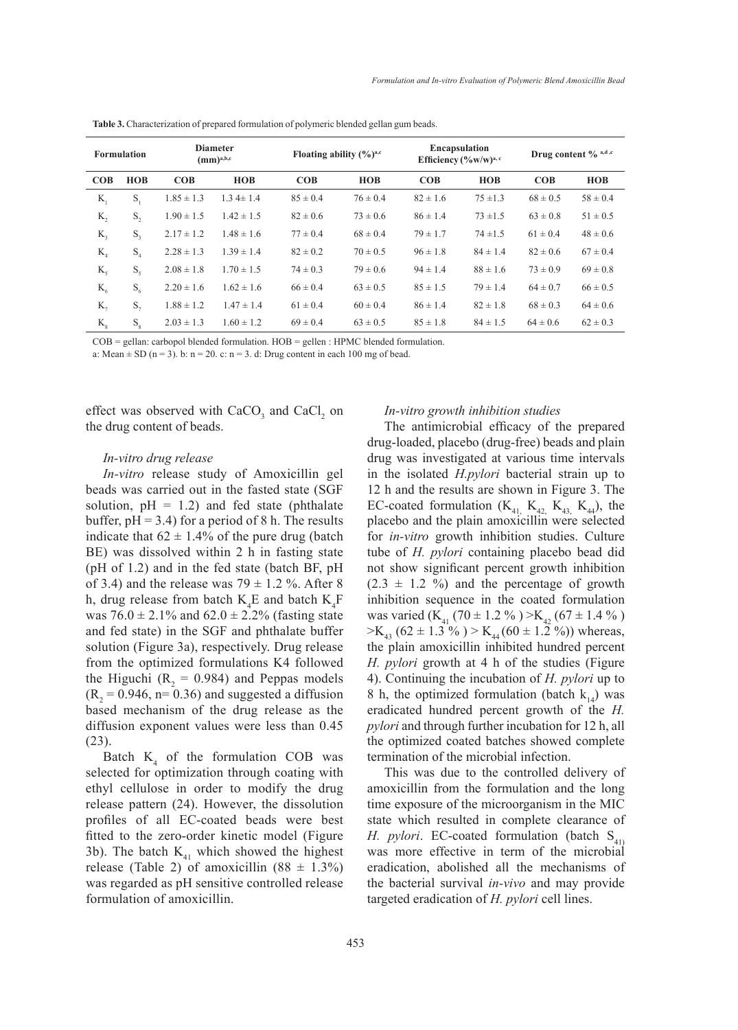| <b>Formulation</b> |                 | <b>Diameter</b><br>$(mm)^{a,b,c}$ |                |              | Floating ability $(\frac{6}{6})^{\text{a,c}}$ |              | <b>Encapsulation</b><br>Efficiency $(\frac{6}{9}W/W)^{a,c}$ |              | Drug content $\%$ a,d,c |  |
|--------------------|-----------------|-----------------------------------|----------------|--------------|-----------------------------------------------|--------------|-------------------------------------------------------------|--------------|-------------------------|--|
| COB                | <b>HOB</b>      | COB                               | <b>HOB</b>     | COB          | <b>HOB</b>                                    | COB          | <b>HOB</b>                                                  | COB          | <b>HOB</b>              |  |
| $K_{1}$            | S,              | $1.85 \pm 1.3$                    | $1.34 \pm 1.4$ | $85 \pm 0.4$ | $76 \pm 0.4$                                  | $82 \pm 1.6$ | $75 + 1.3$                                                  | $68 \pm 0.5$ | $58 \pm 0.4$            |  |
| $K_{2}$            | $S_{\gamma}$    | $1.90 \pm 1.5$                    | $1.42 \pm 1.5$ | $82 \pm 0.6$ | $73 \pm 0.6$                                  | $86 \pm 1.4$ | $73 + 1.5$                                                  | $63 \pm 0.8$ | $51 \pm 0.5$            |  |
| $K_{\mathcal{R}}$  | $S_{3}$         | $2.17 \pm 1.2$                    | $1.48 \pm 1.6$ | $77 \pm 0.4$ | $68 \pm 0.4$                                  | $79 \pm 1.7$ | $74 \pm 1.5$                                                | $61 \pm 0.4$ | $48 \pm 0.6$            |  |
| K <sub>4</sub>     | S <sub>4</sub>  | $2.28 \pm 1.3$                    | $1.39 \pm 1.4$ | $82 \pm 0.2$ | $70 \pm 0.5$                                  | $96 \pm 1.8$ | $84 \pm 1.4$                                                | $82 \pm 0.6$ | $67 \pm 0.4$            |  |
| $K_{\varsigma}$    | $S_{\varsigma}$ | $2.08 \pm 1.8$                    | $1.70 \pm 1.5$ | $74 \pm 0.3$ | $79 \pm 0.6$                                  | $94 \pm 1.4$ | $88 \pm 1.6$                                                | $73 \pm 0.9$ | $69 \pm 0.8$            |  |
| $K_{6}$            | $S_6$           | $2.20 \pm 1.6$                    | $1.62 \pm 1.6$ | $66 \pm 0.4$ | $63 \pm 0.5$                                  | $85 \pm 1.5$ | $79 \pm 1.4$                                                | $64 \pm 0.7$ | $66 \pm 0.5$            |  |
| $K_{\tau}$         | $S_{\tau}$      | $1.88 \pm 1.2$                    | $1.47 \pm 1.4$ | $61 \pm 0.4$ | $60 \pm 0.4$                                  | $86 \pm 1.4$ | $82 \pm 1.8$                                                | $68 \pm 0.3$ | $64 \pm 0.6$            |  |
| $K_{\rm g}$        | $S_{8}$         | $2.03 \pm 1.3$                    | $1.60 \pm 1.2$ | $69 \pm 0.4$ | $63 \pm 0.5$                                  | $85 \pm 1.8$ | $84 \pm 1.5$                                                | $64 \pm 0.6$ | $62 \pm 0.3$            |  |

Table 3. Characterization of prepared formulation of polymeric blended gellan gum beads.

COB = gellan: carbopol blended formulation. HOB = gellen : HPMC blended formulation.

a: Mean  $\pm$  SD (n = 3). b: n = 20. c: n = 3. d: Drug content in each 100 mg of bead.

effect was observed with  $CaCO<sub>3</sub>$  and  $CaCl<sub>2</sub>$  on the drug content of beads.

### *In-vitro drug release*

*In-vitro* release study of Amoxicillin gel beads was carried out in the fasted state (SGF solution,  $pH = 1.2$ ) and fed state (phthalate buffer,  $pH = 3.4$ ) for a period of 8 h. The results indicate that  $62 \pm 1.4\%$  of the pure drug (batch BE) was dissolved within 2 h in fasting state (pH of 1.2) and in the fed state (batch BF, pH of 3.4) and the release was  $79 \pm 1.2$  %. After 8 h, drug release from batch  $K_4E$  and batch  $K_4F$ was  $76.0 \pm 2.1\%$  and  $62.0 \pm 2.2\%$  (fasting state and fed state) in the SGF and phthalate buffer solution (Figure 3a), respectively. Drug release from the optimized formulations K4 followed the Higuchi ( $R_2 = 0.984$ ) and Peppas models  $(R_2 = 0.946, n = 0.36)$  and suggested a diffusion based mechanism of the drug release as the diffusion exponent values were less than 0.45 (23).

Batch  $K_4$  of the formulation COB was selected for optimization through coating with ethyl cellulose in order to modify the drug release pattern (24). However, the dissolution profiles of all EC-coated beads were best fitted to the zero-order kinetic model (Figure 3b). The batch  $K_{41}$  which showed the highest release (Table 2) of amoxicillin  $(88 \pm 1.3\%)$ was regarded as pH sensitive controlled release formulation of amoxicillin.

### *In-vitro growth inhibition studies*

The antimicrobial efficacy of the prepared drug-loaded, placebo (drug-free) beads and plain drug was investigated at various time intervals in the isolated *H.pylori* bacterial strain up to 12 h and the results are shown in Figure 3. The EC-coated formulation  $(K_{41}, K_{42}, K_{43}, K_{44})$ , the placebo and the plain amoxicillin were selected for *in-vitro* growth inhibition studies. Culture tube of *H. pylori* containing placebo bead did not show significant percent growth inhibition  $(2.3 \pm 1.2 \%)$  and the percentage of growth inhibition sequence in the coated formulation was varied  $(K_{41} (70 \pm 1.2 \%) > K_{42} (67 \pm 1.4 \%)$  $>E_{43}$  (62 ± 1.3 %) > K<sub>44</sub> (60 ± 1.2 %)) whereas, the plain amoxicillin inhibited hundred percent *H. pylori* growth at 4 h of the studies (Figure 4). Continuing the incubation of *H. pylori* up to 8 h, the optimized formulation (batch  $k_{14}$ ) was eradicated hundred percent growth of the *H. pylori* and through further incubation for 12 h, all the optimized coated batches showed complete termination of the microbial infection.

This was due to the controlled delivery of amoxicillin from the formulation and the long time exposure of the microorganism in the MIC state which resulted in complete clearance of *H. pylori.* EC-coated formulation (batch  $S_{41}$ ) was more effective in term of the microbial eradication, abolished all the mechanisms of the bacterial survival *in-vivo* and may provide targeted eradication of *H. pylori* cell lines.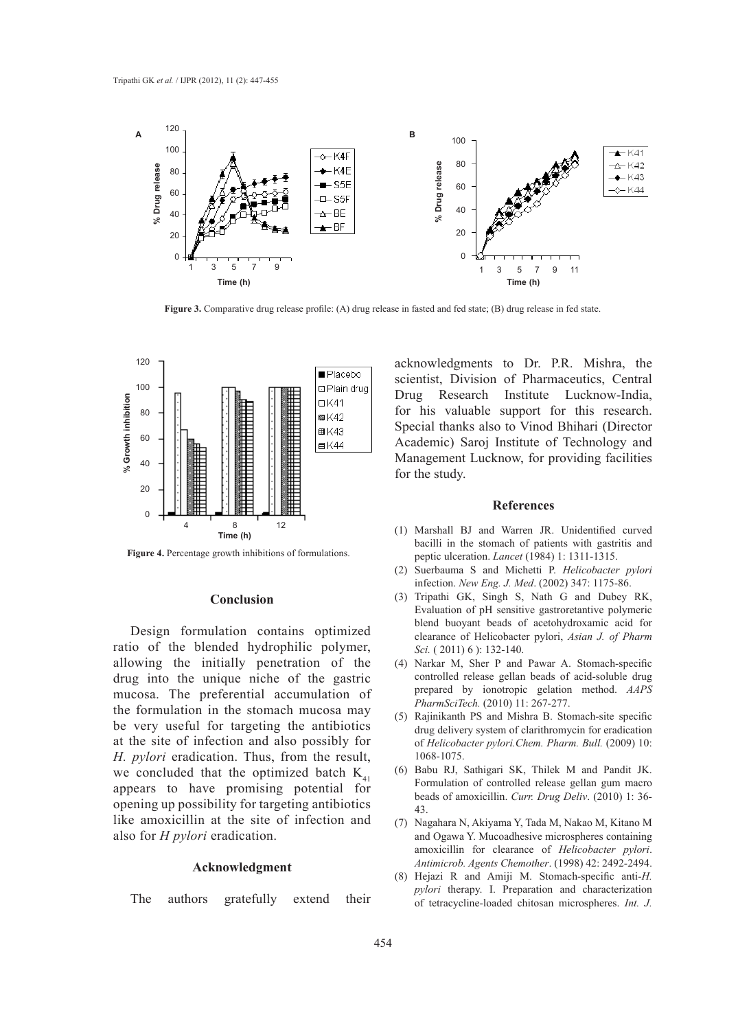

**Figure 3.** Comparative drug release profile: (A) drug release in fasted and fed state; (B) drug release in fed state.



**Figure 4.** Percentage growth inhibitions of formulations.

### **Conclusion**

Design formulation contains optimized ratio of the blended hydrophilic polymer, allowing the initially penetration of the drug into the unique niche of the gastric mucosa. The preferential accumulation of the formulation in the stomach mucosa may be very useful for targeting the antibiotics at the site of infection and also possibly for *H. pylori* eradication. Thus, from the result, we concluded that the optimized batch  $K_{41}$ appears to have promising potential for opening up possibility for targeting antibiotics like amoxicillin at the site of infection and also for *H pylori* eradication.

### **Acknowledgment**

The authors gratefully extend their

acknowledgments to Dr. P.R. Mishra, the scientist, Division of Pharmaceutics, Central Drug Research Institute Lucknow-India, for his valuable support for this research. Special thanks also to Vinod Bhihari (Director Academic) Saroj Institute of Technology and Management Lucknow, for providing facilities for the study.

### **References**

- Marshall BJ and Warren JR. Unidentified curved (1) bacilli in the stomach of patients with gastritis and peptic ulceration. *Lancet* (1984) 1: 1311-1315.
- Suerbauma S and Michetti P. *Helicobacter pylori*  (2) infection. *New Eng. J. Med*. (2002) 347: 1175-86.
- (3) Tripathi GK, Singh S, Nath G and Dubey RK, Evaluation of pH sensitive gastroretantive polymeric blend buoyant beads of acetohydroxamic acid for clearance of Helicobacter pylori, *Asian J. of Pharm Sci.* ( 2011) 6 ): 132-140.
- (4) Narkar M, Sher P and Pawar A. Stomach-specific controlled release gellan beads of acid-soluble drug prepared by ionotropic gelation method. *AAPS PharmSciTech.* (2010) 11: 267-277.
- (5) Rajinikanth PS and Mishra B. Stomach-site specific drug delivery system of clarithromycin for eradication of *Helicobacter pylori.Chem. Pharm. Bull.* (2009) 10: 1068-1075.
- Babu RJ, Sathigari SK, Thilek M and Pandit JK. Formulation of controlled release gellan gum macro beads of amoxicillin. *Curr. Drug Deliv*. (2010) 1: 36- 43. (6)
- Nagahara N, Akiyama Y, Tada M, Nakao M, Kitano M (7) and Ogawa Y. Mucoadhesive microspheres containing amoxicillin for clearance of *Helicobacter pylori*. *Antimicrob. Agents Chemother*. (1998) 42: 2492-2494.
- Hejazi R and Amiji M. Stomach-specific anti-*H.*  (8)*pylori* therapy. I. Preparation and characterization of tetracycline-loaded chitosan microspheres. *Int. J.*